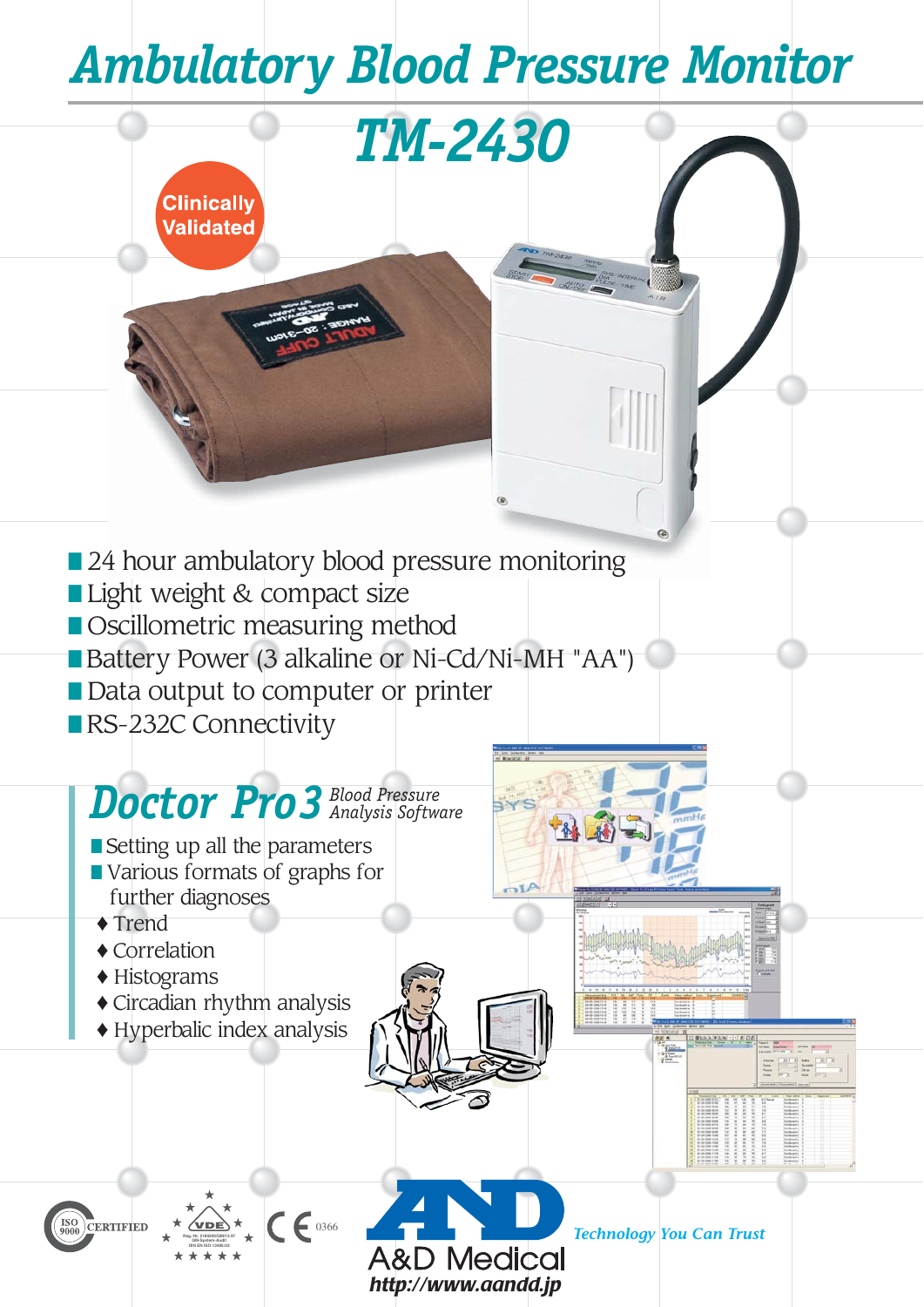# *Ambulatory Blood Pressure Monitor*

*TM-2430*

■ 24 hour ambulatory blood pressure monitoring

- Light weight & compact size
- Oscillometric measuring method
- Battery Power (3 alkaline or Ni-Cd/Ni-MH "AA")
- Data output to computer or printer
- RS-232C Connectivity

**Clinically Validated** 

# *Doctor Pro3Blood Pressure Analysis Software*

 $C \epsilon$  0366

 *http://www.aandd.jp*

&D Medical

- Setting up all the parameters
- Various formats of graphs for further diagnoses
- ♦ Trend
- ♦ Correlation
- ♦ Histograms
- ♦ Circadian rhythm analysis
- ♦ Hyperbalic index analysis

**Reg.-Nr. 2180200/QM/12.97 QM-System-Audit DIN EN ISO 13485:03**



*Technology You Can Trust*

 $-35$